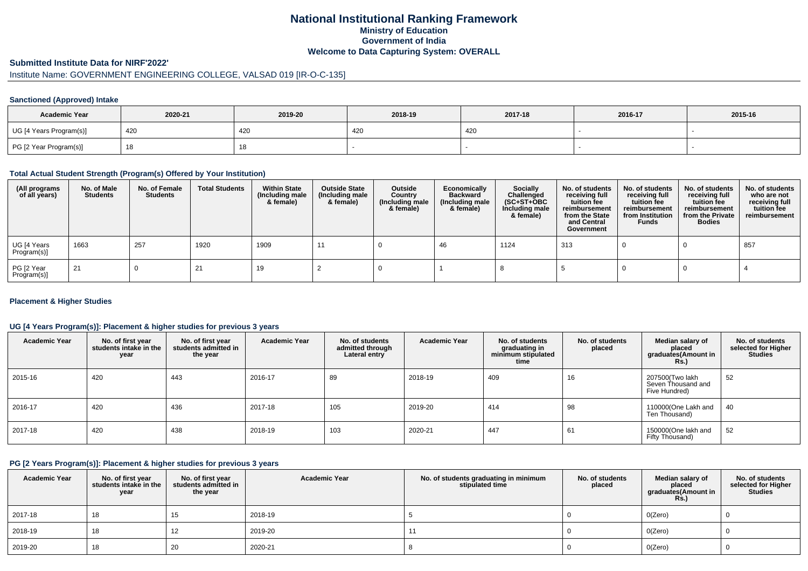## **National Institutional Ranking FrameworkMinistry of Education Government of IndiaWelcome to Data Capturing System: OVERALL**

#### **Submitted Institute Data for NIRF'2022'**

# Institute Name: GOVERNMENT ENGINEERING COLLEGE, VALSAD 019 [IR-O-C-135]

#### **Sanctioned (Approved) Intake**

| <b>Academic Year</b>    | 2020-21 | 2019-20 | 2018-19 | 2017-18 | 2016-17 | 2015-16 |
|-------------------------|---------|---------|---------|---------|---------|---------|
| UG [4 Years Program(s)] | 420     | 420     | 421     | 420     |         |         |
| PG [2 Year Program(s)]  |         |         |         |         |         |         |

#### **Total Actual Student Strength (Program(s) Offered by Your Institution)**

| (All programs<br>of all years) | No. of Male<br><b>Students</b> | No. of Female<br>Students | <b>Total Students</b> | <b>Within State</b><br>(Including male<br>& female) | <b>Outside State</b><br>(Including male<br>& female) | Outside<br>Country<br>(Including male<br>& female) | Economically<br><b>Backward</b><br>(Including male<br>& female) | <b>Socially</b><br>Challenged<br>$(SC+ST+OBC)$<br>Including male<br>& female) | No. of students<br>receiving full<br>tuition fee<br>reimbursement<br>from the State<br>and Central<br>Government | No. of students<br>receiving full<br>tuition fee<br>reimbursement<br>from Institution<br><b>Funds</b> | No. of students<br>receiving full<br>tuition fee<br>reimbursement<br>from the Private<br><b>Bodies</b> | No. of students<br>who are not<br>receiving full<br>tuition fee<br>reimbursement |
|--------------------------------|--------------------------------|---------------------------|-----------------------|-----------------------------------------------------|------------------------------------------------------|----------------------------------------------------|-----------------------------------------------------------------|-------------------------------------------------------------------------------|------------------------------------------------------------------------------------------------------------------|-------------------------------------------------------------------------------------------------------|--------------------------------------------------------------------------------------------------------|----------------------------------------------------------------------------------|
| UG [4 Years<br>Program(s)]     | 1663                           | 257                       | 1920                  | 1909                                                |                                                      |                                                    | 46                                                              | 1124                                                                          | 313                                                                                                              |                                                                                                       |                                                                                                        | 857                                                                              |
| PG [2 Year<br>Program(s)]      | 21                             |                           |                       | 19                                                  |                                                      |                                                    |                                                                 |                                                                               |                                                                                                                  |                                                                                                       |                                                                                                        |                                                                                  |

#### **Placement & Higher Studies**

#### **UG [4 Years Program(s)]: Placement & higher studies for previous 3 years**

| <b>Academic Year</b> | No. of first year<br>students intake in the<br>year | No. of first vear<br>students admitted in<br>the year | <b>Academic Year</b> | No. of students<br>admitted through<br>Lateral entry | <b>Academic Year</b> | No. of students<br>graduating in<br>minimum stipulated<br>time | No. of students<br>placed | Median salary of<br>placed<br>graduates(Amount in<br>Rs.) | No. of students<br>selected for Higher<br><b>Studies</b> |
|----------------------|-----------------------------------------------------|-------------------------------------------------------|----------------------|------------------------------------------------------|----------------------|----------------------------------------------------------------|---------------------------|-----------------------------------------------------------|----------------------------------------------------------|
| 2015-16              | 420                                                 | 443                                                   | 2016-17              | 89                                                   | 2018-19              | 409                                                            | 16                        | 207500(Two lakh<br>Seven Thousand and<br>Five Hundred)    | 52                                                       |
| 2016-17              | 420                                                 | 436                                                   | 2017-18              | 105                                                  | 2019-20              | 414                                                            | 98                        | 110000(One Lakh and<br>Ten Thousand)                      | 40                                                       |
| 2017-18              | 420                                                 | 438                                                   | 2018-19              | 103                                                  | 2020-21              | 447                                                            | 61                        | 150000(One lakh and<br>Fifty Thousand)                    | 52                                                       |

#### **PG [2 Years Program(s)]: Placement & higher studies for previous 3 years**

| <b>Academic Year</b> | No. of first year<br>students intake in the<br>year | No. of first year<br>students admitted in<br>the year | <b>Academic Year</b> | No. of students graduating in minimum<br>stipulated time | No. of students<br>placed | Median salary of<br>placed<br>graduates(Amount in<br>Rs. | No. of students<br>selected for Higher<br><b>Studies</b> |
|----------------------|-----------------------------------------------------|-------------------------------------------------------|----------------------|----------------------------------------------------------|---------------------------|----------------------------------------------------------|----------------------------------------------------------|
| 2017-18              | 18                                                  | 15                                                    | 2018-19              |                                                          |                           | O(Zero)                                                  |                                                          |
| 2018-19              | 18                                                  | 12                                                    | 2019-20              |                                                          |                           | O(Zero)                                                  |                                                          |
| 2019-20              | 18                                                  | 20                                                    | 2020-21              |                                                          |                           | O(Zero)                                                  |                                                          |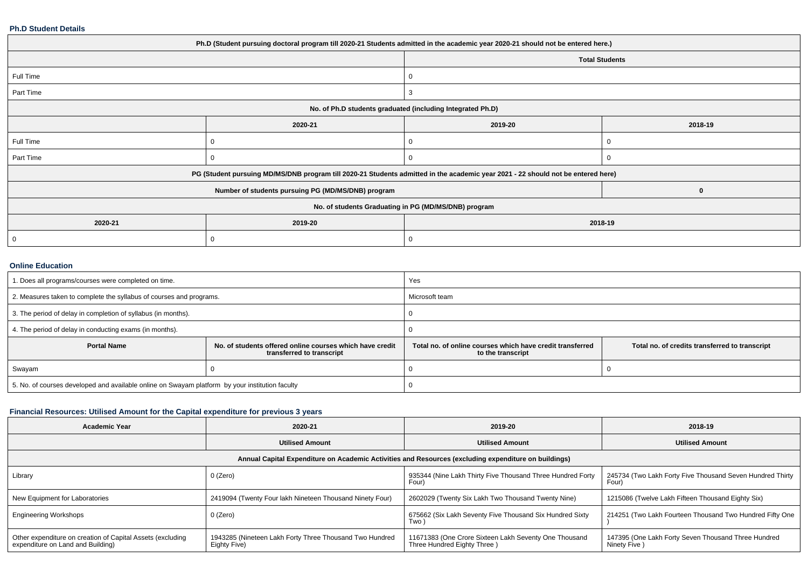#### **Ph.D Student Details**

| Ph.D (Student pursuing doctoral program till 2020-21 Students admitted in the academic year 2020-21 should not be entered here.) |         |                       |  |  |  |  |
|----------------------------------------------------------------------------------------------------------------------------------|---------|-----------------------|--|--|--|--|
|                                                                                                                                  |         | <b>Total Students</b> |  |  |  |  |
|                                                                                                                                  |         |                       |  |  |  |  |
|                                                                                                                                  | 3       |                       |  |  |  |  |
| No. of Ph.D students graduated (including Integrated Ph.D)                                                                       |         |                       |  |  |  |  |
| 2020-21                                                                                                                          | 2019-20 | 2018-19               |  |  |  |  |
| 0                                                                                                                                |         |                       |  |  |  |  |
|                                                                                                                                  |         |                       |  |  |  |  |
| PG (Student pursuing MD/MS/DNB program till 2020-21 Students admitted in the academic year 2021 - 22 should not be entered here) |         |                       |  |  |  |  |
| Number of students pursuing PG (MD/MS/DNB) program                                                                               |         |                       |  |  |  |  |
| No. of students Graduating in PG (MD/MS/DNB) program                                                                             |         |                       |  |  |  |  |
| 2019-20<br>2020-21<br>2018-19                                                                                                    |         |                       |  |  |  |  |
|                                                                                                                                  |         |                       |  |  |  |  |
|                                                                                                                                  |         |                       |  |  |  |  |

### **Online Education**

| 1. Does all programs/courses were completed on time.                                            |                                                                                       | Yes                                                                            |                                                |  |
|-------------------------------------------------------------------------------------------------|---------------------------------------------------------------------------------------|--------------------------------------------------------------------------------|------------------------------------------------|--|
| 2. Measures taken to complete the syllabus of courses and programs.                             |                                                                                       | Microsoft team                                                                 |                                                |  |
| 3. The period of delay in completion of syllabus (in months).                                   |                                                                                       |                                                                                |                                                |  |
| 4. The period of delay in conducting exams (in months).                                         |                                                                                       |                                                                                |                                                |  |
| <b>Portal Name</b>                                                                              | No. of students offered online courses which have credit<br>transferred to transcript | Total no, of online courses which have credit transferred<br>to the transcript | Total no. of credits transferred to transcript |  |
| Swayam                                                                                          |                                                                                       |                                                                                |                                                |  |
| 5. No. of courses developed and available online on Swayam platform by your institution faculty |                                                                                       |                                                                                |                                                |  |

### **Financial Resources: Utilised Amount for the Capital expenditure for previous 3 years**

| <b>Academic Year</b>                                                                                 | 2020-21                                                                 | 2019-20                                                                              | 2018-19                                                            |  |  |  |  |
|------------------------------------------------------------------------------------------------------|-------------------------------------------------------------------------|--------------------------------------------------------------------------------------|--------------------------------------------------------------------|--|--|--|--|
|                                                                                                      | <b>Utilised Amount</b>                                                  | <b>Utilised Amount</b>                                                               | <b>Utilised Amount</b>                                             |  |  |  |  |
| Annual Capital Expenditure on Academic Activities and Resources (excluding expenditure on buildings) |                                                                         |                                                                                      |                                                                    |  |  |  |  |
| Library                                                                                              | 0 (Zero)                                                                | 935344 (Nine Lakh Thirty Five Thousand Three Hundred Forty<br>Four)                  | 245734 (Two Lakh Forty Five Thousand Seven Hundred Thirty<br>Four) |  |  |  |  |
| New Equipment for Laboratories                                                                       | 2419094 (Twenty Four lakh Nineteen Thousand Ninety Four)                | 2602029 (Twenty Six Lakh Two Thousand Twenty Nine)                                   | 1215086 (Twelve Lakh Fifteen Thousand Eighty Six)                  |  |  |  |  |
| <b>Engineering Workshops</b>                                                                         | 0 (Zero)                                                                | 675662 (Six Lakh Seventy Five Thousand Six Hundred Sixty<br>Two '                    | 214251 (Two Lakh Fourteen Thousand Two Hundred Fifty One           |  |  |  |  |
| Other expenditure on creation of Capital Assets (excluding<br>expenditure on Land and Building)      | 1943285 (Nineteen Lakh Forty Three Thousand Two Hundred<br>Eighty Five) | 11671383 (One Crore Sixteen Lakh Seventy One Thousand<br>Three Hundred Eighty Three) | 147395 (One Lakh Forty Seven Thousand Three Hundred<br>Ninety Five |  |  |  |  |
|                                                                                                      |                                                                         |                                                                                      |                                                                    |  |  |  |  |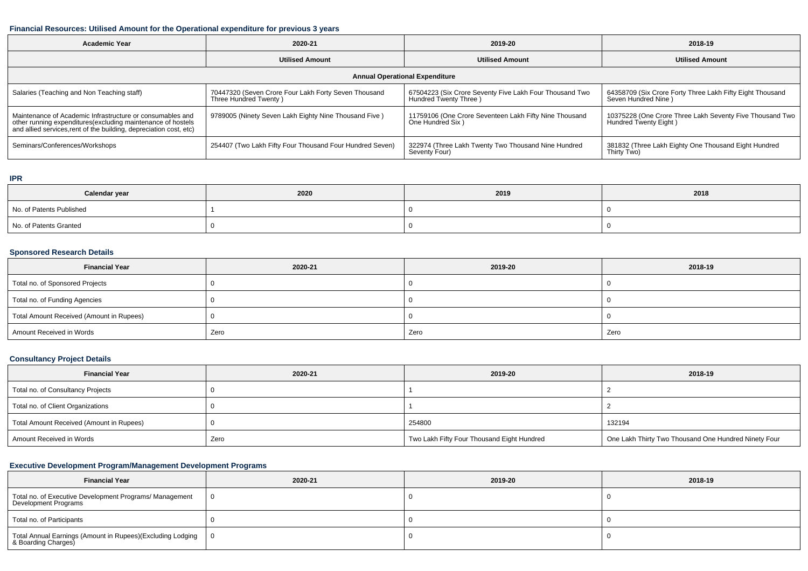### **Financial Resources: Utilised Amount for the Operational expenditure for previous 3 years**

| <b>Academic Year</b>                                                                                                                                                                           | 2020-21                                                                       | 2019-20                                                                          | 2018-19                                                                           |  |  |  |  |
|------------------------------------------------------------------------------------------------------------------------------------------------------------------------------------------------|-------------------------------------------------------------------------------|----------------------------------------------------------------------------------|-----------------------------------------------------------------------------------|--|--|--|--|
|                                                                                                                                                                                                | <b>Utilised Amount</b>                                                        | <b>Utilised Amount</b>                                                           | <b>Utilised Amount</b>                                                            |  |  |  |  |
| <b>Annual Operational Expenditure</b>                                                                                                                                                          |                                                                               |                                                                                  |                                                                                   |  |  |  |  |
| Salaries (Teaching and Non Teaching staff)                                                                                                                                                     | 70447320 (Seven Crore Four Lakh Forty Seven Thousand<br>Three Hundred Twenty) | 67504223 (Six Crore Seventy Five Lakh Four Thousand Two<br>Hundred Twenty Three) | 64358709 (Six Crore Forty Three Lakh Fifty Eight Thousand<br>Seven Hundred Nine)  |  |  |  |  |
| Maintenance of Academic Infrastructure or consumables and<br>other running expenditures(excluding maintenance of hostels<br>and allied services, rent of the building, depreciation cost, etc) | 9789005 (Ninety Seven Lakh Eighty Nine Thousand Five)                         | 11759106 (One Crore Seventeen Lakh Fifty Nine Thousand<br>One Hundred Six)       | 10375228 (One Crore Three Lakh Seventy Five Thousand Two<br>Hundred Twenty Eight) |  |  |  |  |
| Seminars/Conferences/Workshops                                                                                                                                                                 | 254407 (Two Lakh Fifty Four Thousand Four Hundred Seven)                      | 322974 (Three Lakh Twenty Two Thousand Nine Hundred<br>Seventy Four)             | 381832 (Three Lakh Eighty One Thousand Eight Hundred<br>Thirty Two)               |  |  |  |  |

### **IPR**

| Calendar year            | 2020 | 2019 | 2018 |
|--------------------------|------|------|------|
| No. of Patents Published |      |      |      |
| No. of Patents Granted   |      |      |      |

### **Sponsored Research Details**

| <b>Financial Year</b>                    | 2020-21 | 2019-20 | 2018-19 |
|------------------------------------------|---------|---------|---------|
| Total no. of Sponsored Projects          |         |         |         |
| Total no. of Funding Agencies            |         |         |         |
| Total Amount Received (Amount in Rupees) |         |         |         |
| Amount Received in Words                 | Zero    | Zero    | Zero    |

## **Consultancy Project Details**

| <b>Financial Year</b>                    | 2020-21 | 2019-20                                    | 2018-19                                              |
|------------------------------------------|---------|--------------------------------------------|------------------------------------------------------|
| Total no. of Consultancy Projects        |         |                                            |                                                      |
| Total no. of Client Organizations        |         |                                            |                                                      |
| Total Amount Received (Amount in Rupees) |         | 254800                                     | 132194                                               |
| Amount Received in Words                 | Zero    | Two Lakh Fifty Four Thousand Eight Hundred | One Lakh Thirty Two Thousand One Hundred Ninety Four |

## **Executive Development Program/Management Development Programs**

| <b>Financial Year</b>                                                                 | 2020-21 | 2019-20 | 2018-19 |
|---------------------------------------------------------------------------------------|---------|---------|---------|
| Total no. of Executive Development Programs/ Management<br>Development Programs       | - 0     |         |         |
| Total no. of Participants                                                             |         |         |         |
| Total Annual Earnings (Amount in Rupees)(Excluding Lodging   0<br>8. Boarding Charges |         |         |         |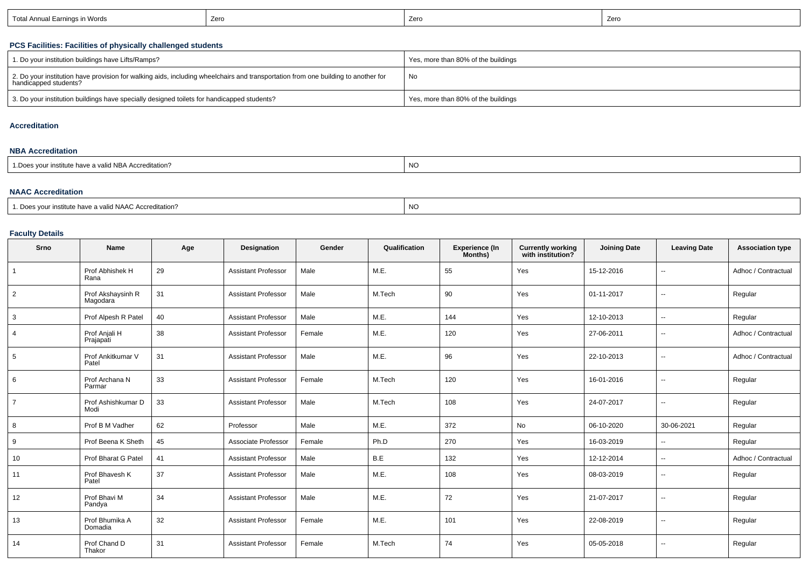| Earnings in Words<br>Total Annual L | Zerc | Zerc | Zero |
|-------------------------------------|------|------|------|
|-------------------------------------|------|------|------|

## **PCS Facilities: Facilities of physically challenged students**

| 1. Do your institution buildings have Lifts/Ramps?                                                                                                           | Yes, more than 80% of the buildings |
|--------------------------------------------------------------------------------------------------------------------------------------------------------------|-------------------------------------|
| 2. Do your institution have provision for walking aids, including wheelchairs and transportation from one building to another for<br>  handicapped students? | No                                  |
| 3. Do your institution buildings have specially designed toilets for handicapped students?                                                                   | Yes, more than 80% of the buildings |

#### **Accreditation**

#### **NBA Accreditation**

| * Does vour institute have a valid NBA Accreditation? | $\overline{M}$<br>יעו |
|-------------------------------------------------------|-----------------------|
|-------------------------------------------------------|-----------------------|

#### **NAAC Accreditation**

| 1. Does vour institute have a valid NAAC Accreditation? | NC |
|---------------------------------------------------------|----|
|---------------------------------------------------------|----|

## **Faculty Details**

| Srno           | Name                          | Age | Designation                | Gender | Qualification | <b>Experience (In</b><br>Months) | <b>Currently working</b><br>with institution? | <b>Joining Date</b> | <b>Leaving Date</b>      | <b>Association type</b> |
|----------------|-------------------------------|-----|----------------------------|--------|---------------|----------------------------------|-----------------------------------------------|---------------------|--------------------------|-------------------------|
| $\mathbf{1}$   | Prof Abhishek H<br>Rana       | 29  | <b>Assistant Professor</b> | Male   | M.E.          | 55                               | Yes                                           | 15-12-2016          | н.                       | Adhoc / Contractual     |
| 2              | Prof Akshaysinh R<br>Magodara | 31  | <b>Assistant Professor</b> | Male   | M.Tech        | 90                               | Yes                                           | 01-11-2017          | $\overline{\phantom{a}}$ | Regular                 |
| 3              | Prof Alpesh R Patel           | 40  | <b>Assistant Professor</b> | Male   | M.E.          | 144                              | Yes                                           | 12-10-2013          | $\overline{\phantom{a}}$ | Regular                 |
| 4              | Prof Anjali H<br>Prajapati    | 38  | <b>Assistant Professor</b> | Female | M.E.          | 120                              | Yes                                           | 27-06-2011          | $\sim$                   | Adhoc / Contractual     |
| 5              | Prof Ankitkumar V<br>Patel    | 31  | <b>Assistant Professor</b> | Male   | M.E.          | 96                               | Yes                                           | 22-10-2013          | $\overline{a}$           | Adhoc / Contractual     |
| 6              | Prof Archana N<br>Parmar      | 33  | <b>Assistant Professor</b> | Female | M.Tech        | 120                              | Yes                                           | 16-01-2016          | н.                       | Regular                 |
| $\overline{7}$ | Prof Ashishkumar D<br>Modi    | 33  | <b>Assistant Professor</b> | Male   | M.Tech        | 108                              | Yes                                           | 24-07-2017          | н.                       | Regular                 |
| 8              | Prof B M Vadher               | 62  | Professor                  | Male   | M.E.          | 372                              | No                                            | 06-10-2020          | 30-06-2021               | Regular                 |
| 9              | Prof Beena K Sheth            | 45  | Associate Professor        | Female | Ph.D          | 270                              | Yes                                           | 16-03-2019          | $\overline{\phantom{a}}$ | Regular                 |
| 10             | Prof Bharat G Patel           | 41  | <b>Assistant Professor</b> | Male   | B.E           | 132                              | Yes                                           | 12-12-2014          | н.                       | Adhoc / Contractual     |
| 11             | Prof Bhavesh K<br>Patel       | 37  | <b>Assistant Professor</b> | Male   | M.E.          | 108                              | Yes                                           | 08-03-2019          | $\overline{\phantom{a}}$ | Regular                 |
| 12             | Prof Bhavi M<br>Pandya        | 34  | <b>Assistant Professor</b> | Male   | M.E.          | 72                               | Yes                                           | 21-07-2017          | $\overline{\phantom{a}}$ | Regular                 |
| 13             | Prof Bhumika A<br>Domadia     | 32  | <b>Assistant Professor</b> | Female | M.E.          | 101                              | Yes                                           | 22-08-2019          | $\overline{a}$           | Regular                 |
| 14             | Prof Chand D<br>Thakor        | 31  | <b>Assistant Professor</b> | Female | M.Tech        | 74                               | Yes                                           | 05-05-2018          | $\sim$                   | Regular                 |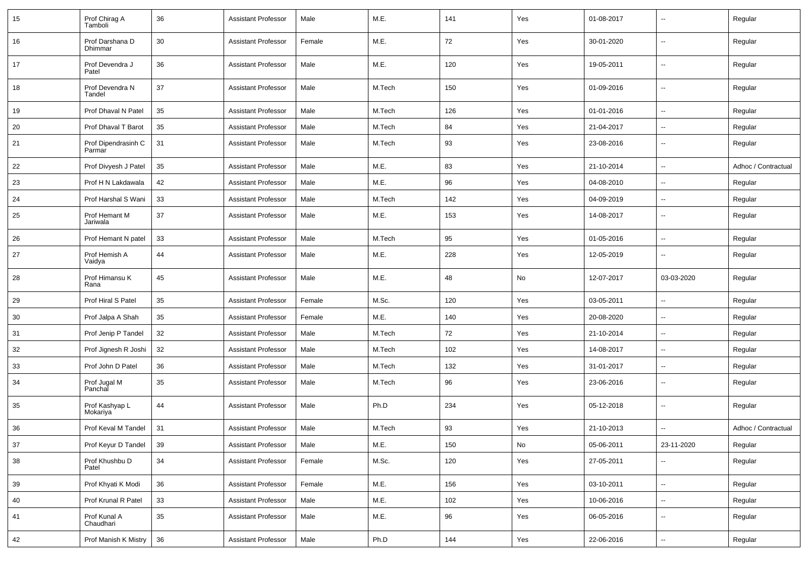| 15 | Prof Chirag A<br>Tamboli      | 36 | <b>Assistant Professor</b> | Male   | M.E.   | 141 | Yes | 01-08-2017 | --                       | Regular             |
|----|-------------------------------|----|----------------------------|--------|--------|-----|-----|------------|--------------------------|---------------------|
| 16 | Prof Darshana D<br>Dhimmar    | 30 | <b>Assistant Professor</b> | Female | M.E.   | 72  | Yes | 30-01-2020 | $\overline{\phantom{a}}$ | Regular             |
| 17 | Prof Devendra J<br>Patel      | 36 | <b>Assistant Professor</b> | Male   | M.E.   | 120 | Yes | 19-05-2011 | ⊷.                       | Regular             |
| 18 | Prof Devendra N<br>Tandel     | 37 | <b>Assistant Professor</b> | Male   | M.Tech | 150 | Yes | 01-09-2016 | $\overline{\phantom{a}}$ | Regular             |
| 19 | Prof Dhaval N Patel           | 35 | <b>Assistant Professor</b> | Male   | M.Tech | 126 | Yes | 01-01-2016 | ⊷.                       | Regular             |
| 20 | Prof Dhaval T Barot           | 35 | <b>Assistant Professor</b> | Male   | M.Tech | 84  | Yes | 21-04-2017 | $\overline{\phantom{a}}$ | Regular             |
| 21 | Prof Dipendrasinh C<br>Parmar | 31 | <b>Assistant Professor</b> | Male   | M.Tech | 93  | Yes | 23-08-2016 | --                       | Regular             |
| 22 | Prof Divyesh J Patel          | 35 | <b>Assistant Professor</b> | Male   | M.E.   | 83  | Yes | 21-10-2014 | $\overline{\phantom{a}}$ | Adhoc / Contractual |
| 23 | Prof H N Lakdawala            | 42 | <b>Assistant Professor</b> | Male   | M.E.   | 96  | Yes | 04-08-2010 | --                       | Regular             |
| 24 | Prof Harshal S Wani           | 33 | <b>Assistant Professor</b> | Male   | M.Tech | 142 | Yes | 04-09-2019 | $\mathbf{u}$             | Regular             |
| 25 | Prof Hemant M<br>Jariwala     | 37 | <b>Assistant Professor</b> | Male   | M.E.   | 153 | Yes | 14-08-2017 | --                       | Regular             |
| 26 | Prof Hemant N patel           | 33 | <b>Assistant Professor</b> | Male   | M.Tech | 95  | Yes | 01-05-2016 | $\overline{\phantom{a}}$ | Regular             |
| 27 | Prof Hemish A<br>Vaidya       | 44 | <b>Assistant Professor</b> | Male   | M.E.   | 228 | Yes | 12-05-2019 | --                       | Regular             |
| 28 | Prof Himansu K<br>Rana        | 45 | <b>Assistant Professor</b> | Male   | M.E.   | 48  | No  | 12-07-2017 | 03-03-2020               | Regular             |
| 29 | Prof Hiral S Patel            | 35 | <b>Assistant Professor</b> | Female | M.Sc.  | 120 | Yes | 03-05-2011 | ⊷.                       | Regular             |
| 30 | Prof Jalpa A Shah             | 35 | <b>Assistant Professor</b> | Female | M.E.   | 140 | Yes | 20-08-2020 | $\overline{\phantom{a}}$ | Regular             |
| 31 | Prof Jenip P Tandel           | 32 | <b>Assistant Professor</b> | Male   | M.Tech | 72  | Yes | 21-10-2014 | --                       | Regular             |
| 32 | Prof Jignesh R Joshi          | 32 | <b>Assistant Professor</b> | Male   | M.Tech | 102 | Yes | 14-08-2017 | --                       | Regular             |
| 33 | Prof John D Patel             | 36 | <b>Assistant Professor</b> | Male   | M.Tech | 132 | Yes | 31-01-2017 | $\overline{\phantom{a}}$ | Regular             |
| 34 | Prof Jugal M<br>Panchal       | 35 | <b>Assistant Professor</b> | Male   | M.Tech | 96  | Yes | 23-06-2016 | $\sim$                   | Regular             |
| 35 | Prof Kashyap L<br>Mokariya    | 44 | <b>Assistant Professor</b> | Male   | Ph.D   | 234 | Yes | 05-12-2018 | $\overline{\phantom{a}}$ | Regular             |
| 36 | Prof Keval M Tandel           | 31 | <b>Assistant Professor</b> | Male   | M.Tech | 93  | Yes | 21-10-2013 | Ξ.                       | Adhoc / Contractual |
| 37 | Prof Keyur D Tandel           | 39 | <b>Assistant Professor</b> | Male   | M.E.   | 150 | No  | 05-06-2011 | 23-11-2020               | Regular             |
| 38 | Prof Khushbu D<br>Patel       | 34 | <b>Assistant Professor</b> | Female | M.Sc.  | 120 | Yes | 27-05-2011 | $\overline{\phantom{a}}$ | Regular             |
| 39 | Prof Khyati K Modi            | 36 | <b>Assistant Professor</b> | Female | M.E.   | 156 | Yes | 03-10-2011 | $\overline{\phantom{a}}$ | Regular             |
| 40 | Prof Krunal R Patel           | 33 | <b>Assistant Professor</b> | Male   | M.E.   | 102 | Yes | 10-06-2016 | $\overline{\phantom{a}}$ | Regular             |
| 41 | Prof Kunal A<br>Chaudhari     | 35 | <b>Assistant Professor</b> | Male   | M.E.   | 96  | Yes | 06-05-2016 | $\sim$                   | Regular             |
| 42 | Prof Manish K Mistry          | 36 | <b>Assistant Professor</b> | Male   | Ph.D   | 144 | Yes | 22-06-2016 | н,                       | Regular             |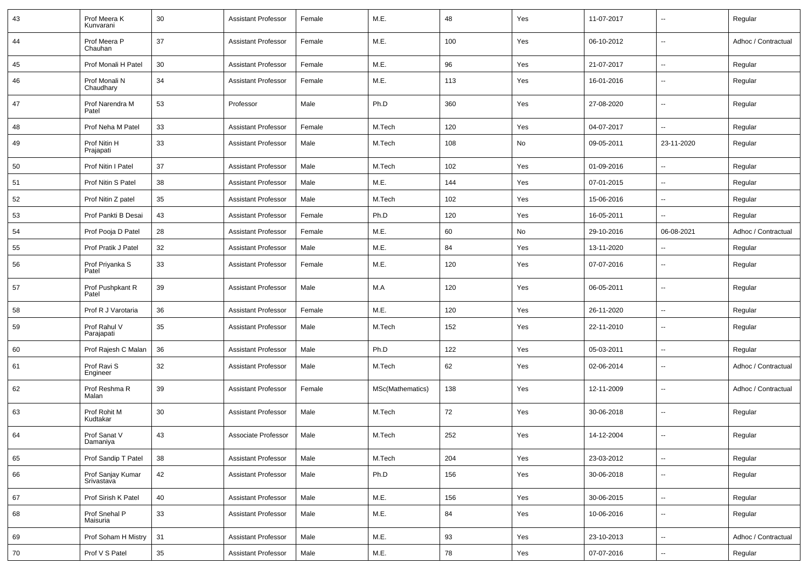| 43 | Prof Meera K<br>Kunvarani       | 30 | <b>Assistant Professor</b> | Female | M.E.             | 48  | Yes | 11-07-2017 | --                       | Regular             |
|----|---------------------------------|----|----------------------------|--------|------------------|-----|-----|------------|--------------------------|---------------------|
| 44 | Prof Meera P<br>Chauhan         | 37 | <b>Assistant Professor</b> | Female | M.E.             | 100 | Yes | 06-10-2012 | $\sim$                   | Adhoc / Contractual |
| 45 | Prof Monali H Patel             | 30 | <b>Assistant Professor</b> | Female | M.E.             | 96  | Yes | 21-07-2017 | $\overline{\phantom{a}}$ | Regular             |
| 46 | Prof Monali N<br>Chaudhary      | 34 | <b>Assistant Professor</b> | Female | M.E.             | 113 | Yes | 16-01-2016 | $\overline{a}$           | Regular             |
| 47 | Prof Narendra M<br>Patel        | 53 | Professor                  | Male   | Ph.D             | 360 | Yes | 27-08-2020 | $\overline{a}$           | Regular             |
| 48 | Prof Neha M Patel               | 33 | <b>Assistant Professor</b> | Female | M.Tech           | 120 | Yes | 04-07-2017 | $\overline{\phantom{a}}$ | Regular             |
| 49 | Prof Nitin H<br>Prajapati       | 33 | <b>Assistant Professor</b> | Male   | M.Tech           | 108 | No  | 09-05-2011 | 23-11-2020               | Regular             |
| 50 | Prof Nitin I Patel              | 37 | <b>Assistant Professor</b> | Male   | M.Tech           | 102 | Yes | 01-09-2016 | u.                       | Regular             |
| 51 | Prof Nitin S Patel              | 38 | <b>Assistant Professor</b> | Male   | M.E.             | 144 | Yes | 07-01-2015 | ۰.                       | Regular             |
| 52 | Prof Nitin Z patel              | 35 | <b>Assistant Professor</b> | Male   | M.Tech           | 102 | Yes | 15-06-2016 | $\overline{a}$           | Regular             |
| 53 | Prof Pankti B Desai             | 43 | <b>Assistant Professor</b> | Female | Ph.D             | 120 | Yes | 16-05-2011 | $\overline{a}$           | Regular             |
| 54 | Prof Pooja D Patel              | 28 | <b>Assistant Professor</b> | Female | M.E.             | 60  | No  | 29-10-2016 | 06-08-2021               | Adhoc / Contractual |
| 55 | Prof Pratik J Patel             | 32 | <b>Assistant Professor</b> | Male   | M.E.             | 84  | Yes | 13-11-2020 | $\overline{a}$           | Regular             |
| 56 | Prof Priyanka S<br>Patel        | 33 | <b>Assistant Professor</b> | Female | M.E.             | 120 | Yes | 07-07-2016 | $\overline{a}$           | Regular             |
| 57 | Prof Pushpkant R<br>Patel       | 39 | <b>Assistant Professor</b> | Male   | M.A              | 120 | Yes | 06-05-2011 | $\overline{a}$           | Regular             |
| 58 | Prof R J Varotaria              | 36 | <b>Assistant Professor</b> | Female | M.E.             | 120 | Yes | 26-11-2020 | $\overline{\phantom{a}}$ | Regular             |
| 59 | Prof Rahul V<br>Parajapati      | 35 | <b>Assistant Professor</b> | Male   | M.Tech           | 152 | Yes | 22-11-2010 | ۰.                       | Regular             |
| 60 | Prof Rajesh C Malan             | 36 | <b>Assistant Professor</b> | Male   | Ph.D             | 122 | Yes | 05-03-2011 | ۰.                       | Regular             |
| 61 | Prof Ravi S<br>Engineer         | 32 | <b>Assistant Professor</b> | Male   | M.Tech           | 62  | Yes | 02-06-2014 | $\overline{a}$           | Adhoc / Contractual |
| 62 | Prof Reshma R<br>Malan          | 39 | <b>Assistant Professor</b> | Female | MSc(Mathematics) | 138 | Yes | 12-11-2009 | $\overline{\phantom{a}}$ | Adhoc / Contractual |
| 63 | Prof Rohit M<br>Kudtakar        | 30 | <b>Assistant Professor</b> | Male   | M.Tech           | 72  | Yes | 30-06-2018 | $\overline{\phantom{a}}$ | Regular             |
| 64 | Prof Sanat V<br>Damaniya        | 43 | Associate Professor        | Male   | M.Tech           | 252 | Yes | 14-12-2004 | --                       | Regular             |
| 65 | Prof Sandip T Patel             | 38 | <b>Assistant Professor</b> | Male   | M.Tech           | 204 | Yes | 23-03-2012 | Ξ.                       | Regular             |
| 66 | Prof Sanjay Kumar<br>Srivastava | 42 | <b>Assistant Professor</b> | Male   | Ph.D             | 156 | Yes | 30-06-2018 | $\overline{\phantom{a}}$ | Regular             |
| 67 | Prof Sirish K Patel             | 40 | <b>Assistant Professor</b> | Male   | M.E.             | 156 | Yes | 30-06-2015 | ÷.                       | Regular             |
| 68 | Prof Snehal P<br>Maisuria       | 33 | <b>Assistant Professor</b> | Male   | M.E.             | 84  | Yes | 10-06-2016 | Ξ.                       | Regular             |
| 69 | Prof Soham H Mistry             | 31 | <b>Assistant Professor</b> | Male   | M.E.             | 93  | Yes | 23-10-2013 | Ξ.                       | Adhoc / Contractual |
| 70 | Prof V S Patel                  | 35 | <b>Assistant Professor</b> | Male   | M.E.             | 78  | Yes | 07-07-2016 | Ξ.                       | Regular             |